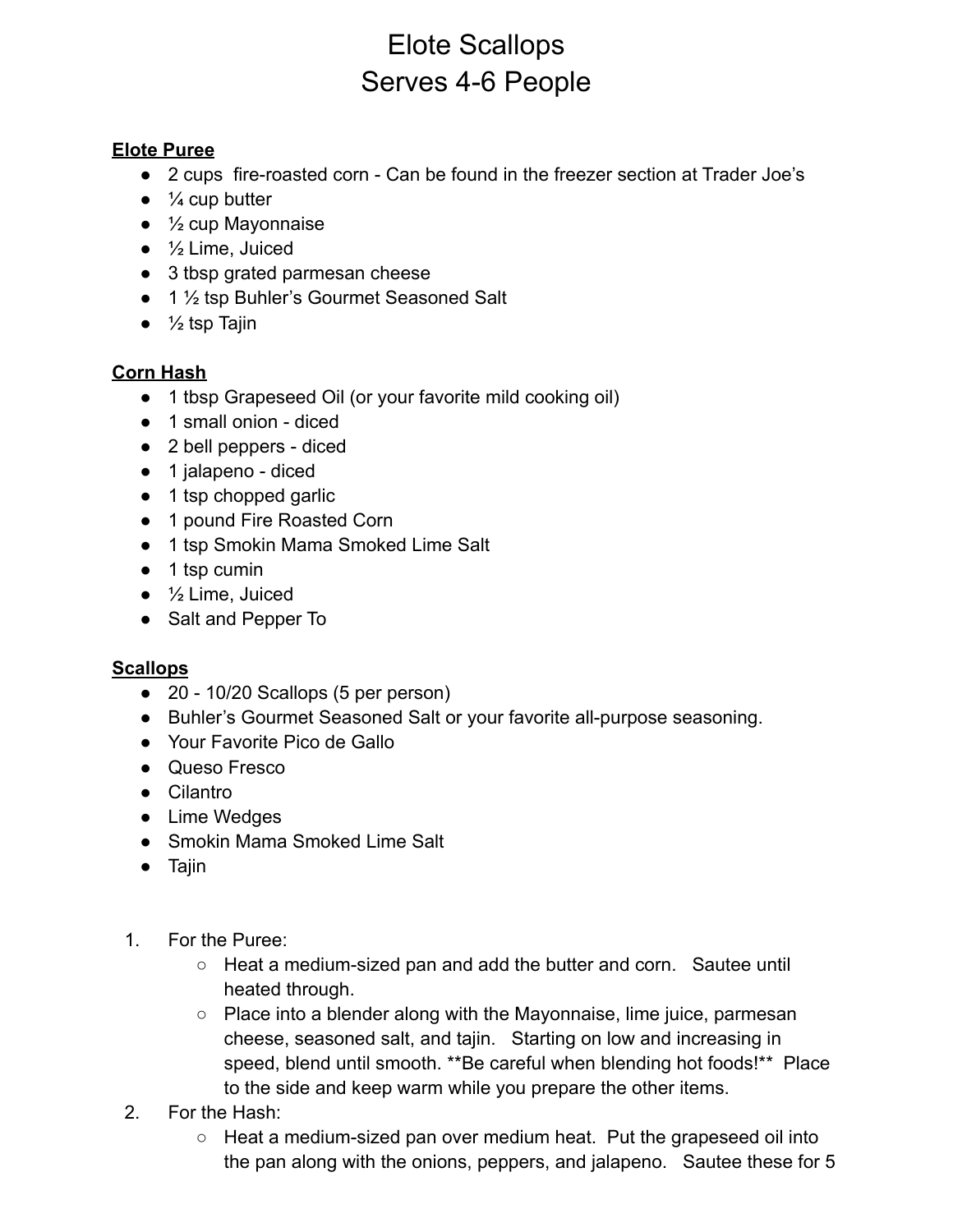## Elote Scallops Serves 4-6 People

## **Elote Puree**

- 2 cups fire-roasted corn Can be found in the freezer section at Trader Joe's
- $\bullet$   $\frac{1}{4}$  cup butter
- $\bullet$   $\frac{1}{2}$  cup Mayonnaise
- $\bullet$   $\frac{1}{2}$  Lime, Juiced
- 3 tbsp grated parmesan cheese
- 1 ½ tsp Buhler's Gourmet Seasoned Salt
- $\bullet$   $\frac{1}{2}$  tsp Tajin

## **Corn Hash**

- 1 tbsp Grapeseed Oil (or your favorite mild cooking oil)
- 1 small onion diced
- 2 bell peppers diced
- 1 jalapeno diced
- 1 tsp chopped garlic
- 1 pound Fire Roasted Corn
- 1 tsp Smokin Mama Smoked Lime Salt
- 1 tsp cumin
- $\bullet$   $\frac{1}{2}$  Lime, Juiced
- Salt and Pepper To

## **Scallops**

- 20 10/20 Scallops (5 per person)
- Buhler's Gourmet Seasoned Salt or your favorite all-purpose seasoning.
- Your Favorite Pico de Gallo
- Queso Fresco
- Cilantro
- Lime Wedges
- Smokin Mama Smoked Lime Salt
- Tajin
- 1. For the Puree:
	- Heat a medium-sized pan and add the butter and corn. Sautee until heated through.
	- Place into a blender along with the Mayonnaise, lime juice, parmesan cheese, seasoned salt, and tajin. Starting on low and increasing in speed, blend until smooth. \*\*Be careful when blending hot foods!\*\* Place to the side and keep warm while you prepare the other items.
- 2. For the Hash:
	- Heat a medium-sized pan over medium heat. Put the grapeseed oil into the pan along with the onions, peppers, and jalapeno. Sautee these for 5